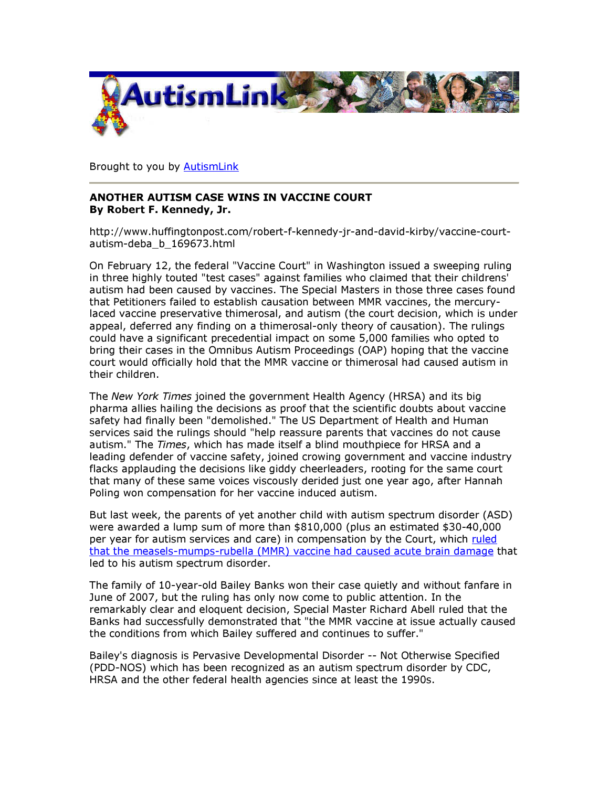

Brought to you by AutismLink

# ANOTHER AUTISM CASE WINS IN VACCINE COURT By Robert F. Kennedy, Jr.

http://www.huffingtonpost.com/robert-f-kennedy-jr-and-david-kirby/vaccine-courtautism-deba\_b\_169673.html

On February 12, the federal "Vaccine Court" in Washington issued a sweeping ruling in three highly touted "test cases" against families who claimed that their childrens' autism had been caused by vaccines. The Special Masters in those three cases found that Petitioners failed to establish causation between MMR vaccines, the mercurylaced vaccine preservative thimerosal, and autism (the court decision, which is under appeal, deferred any finding on a thimerosal-only theory of causation). The rulings could have a significant precedential impact on some 5,000 families who opted to bring their cases in the Omnibus Autism Proceedings (OAP) hoping that the vaccine court would officially hold that the MMR vaccine or thimerosal had caused autism in their children.

The New York Times joined the government Health Agency (HRSA) and its big pharma allies hailing the decisions as proof that the scientific doubts about vaccine safety had finally been "demolished." The US Department of Health and Human services said the rulings should "help reassure parents that vaccines do not cause autism." The Times, which has made itself a blind mouthpiece for HRSA and a leading defender of vaccine safety, joined crowing government and vaccine industry flacks applauding the decisions like giddy cheerleaders, rooting for the same court that many of these same voices viscously derided just one year ago, after Hannah Poling won compensation for her vaccine induced autism.

But last week, the parents of yet another child with autism spectrum disorder (ASD) were awarded a lump sum of more than \$810,000 (plus an estimated \$30-40,000 per year for autism services and care) in compensation by the Court, which ruled that the measels-mumps-rubella (MMR) vaccine had caused acute brain damage that led to his autism spectrum disorder.

The family of 10-year-old Bailey Banks won their case quietly and without fanfare in June of 2007, but the ruling has only now come to public attention. In the remarkably clear and eloquent decision, Special Master Richard Abell ruled that the Banks had successfully demonstrated that "the MMR vaccine at issue actually caused the conditions from which Bailey suffered and continues to suffer."

Bailey's diagnosis is Pervasive Developmental Disorder -- Not Otherwise Specified (PDD-NOS) which has been recognized as an autism spectrum disorder by CDC, HRSA and the other federal health agencies since at least the 1990s.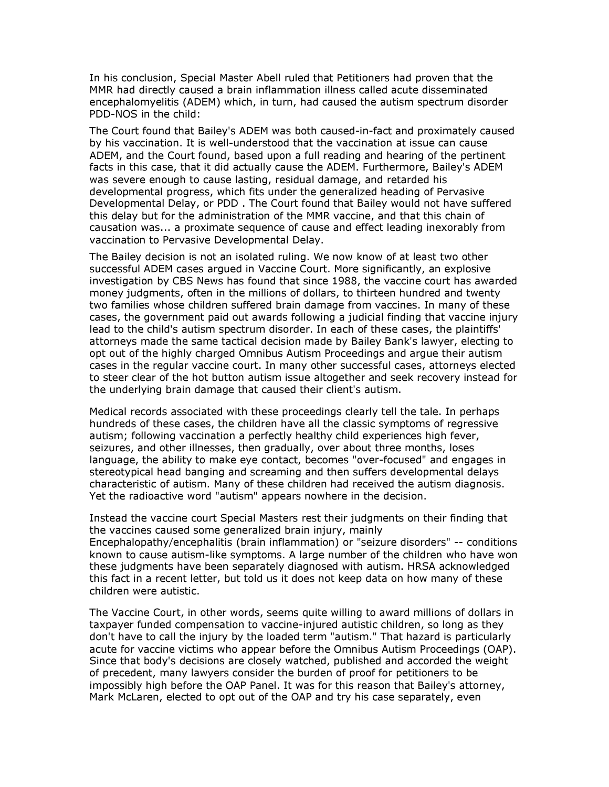In his conclusion, Special Master Abell ruled that Petitioners had proven that the MMR had directly caused a brain inflammation illness called acute disseminated encephalomyelitis (ADEM) which, in turn, had caused the autism spectrum disorder PDD-NOS in the child:

The Court found that Bailey's ADEM was both caused-in-fact and proximately caused by his vaccination. It is well-understood that the vaccination at issue can cause ADEM, and the Court found, based upon a full reading and hearing of the pertinent facts in this case, that it did actually cause the ADEM. Furthermore, Bailey's ADEM was severe enough to cause lasting, residual damage, and retarded his developmental progress, which fits under the generalized heading of Pervasive Developmental Delay, or PDD . The Court found that Bailey would not have suffered this delay but for the administration of the MMR vaccine, and that this chain of causation was... a proximate sequence of cause and effect leading inexorably from vaccination to Pervasive Developmental Delay.

The Bailey decision is not an isolated ruling. We now know of at least two other successful ADEM cases argued in Vaccine Court. More significantly, an explosive investigation by CBS News has found that since 1988, the vaccine court has awarded money judgments, often in the millions of dollars, to thirteen hundred and twenty two families whose children suffered brain damage from vaccines. In many of these cases, the government paid out awards following a judicial finding that vaccine injury lead to the child's autism spectrum disorder. In each of these cases, the plaintiffs' attorneys made the same tactical decision made by Bailey Bank's lawyer, electing to opt out of the highly charged Omnibus Autism Proceedings and argue their autism cases in the regular vaccine court. In many other successful cases, attorneys elected to steer clear of the hot button autism issue altogether and seek recovery instead for the underlying brain damage that caused their client's autism.

Medical records associated with these proceedings clearly tell the tale. In perhaps hundreds of these cases, the children have all the classic symptoms of regressive autism; following vaccination a perfectly healthy child experiences high fever, seizures, and other illnesses, then gradually, over about three months, loses language, the ability to make eye contact, becomes "over-focused" and engages in stereotypical head banging and screaming and then suffers developmental delays characteristic of autism. Many of these children had received the autism diagnosis. Yet the radioactive word "autism" appears nowhere in the decision.

Instead the vaccine court Special Masters rest their judgments on their finding that the vaccines caused some generalized brain injury, mainly Encephalopathy/encephalitis (brain inflammation) or "seizure disorders" -- conditions known to cause autism-like symptoms. A large number of the children who have won these judgments have been separately diagnosed with autism. HRSA acknowledged this fact in a recent letter, but told us it does not keep data on how many of these

children were autistic.

The Vaccine Court, in other words, seems quite willing to award millions of dollars in taxpayer funded compensation to vaccine-injured autistic children, so long as they don't have to call the injury by the loaded term "autism." That hazard is particularly acute for vaccine victims who appear before the Omnibus Autism Proceedings (OAP). Since that body's decisions are closely watched, published and accorded the weight of precedent, many lawyers consider the burden of proof for petitioners to be impossibly high before the OAP Panel. It was for this reason that Bailey's attorney, Mark McLaren, elected to opt out of the OAP and try his case separately, even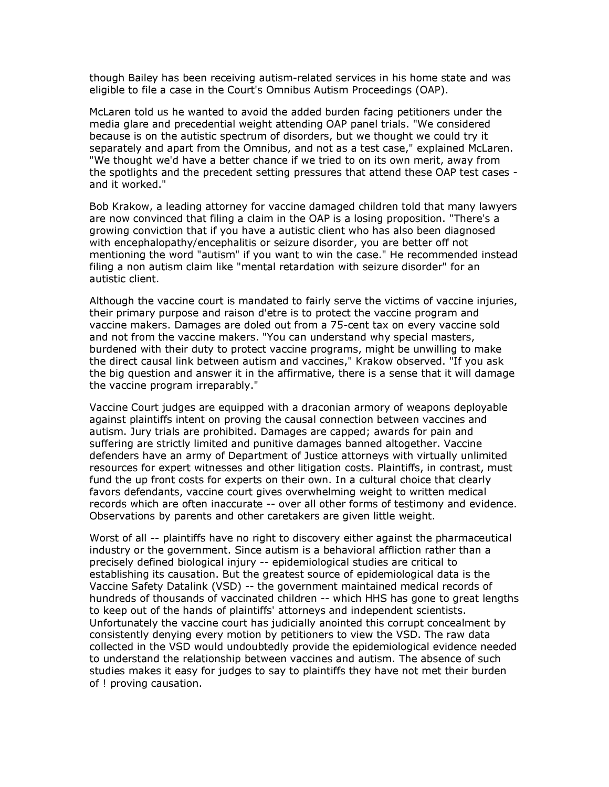though Bailey has been receiving autism-related services in his home state and was eligible to file a case in the Court's Omnibus Autism Proceedings (OAP).

McLaren told us he wanted to avoid the added burden facing petitioners under the media glare and precedential weight attending OAP panel trials. "We considered because is on the autistic spectrum of disorders, but we thought we could try it separately and apart from the Omnibus, and not as a test case," explained McLaren. "We thought we'd have a better chance if we tried to on its own merit, away from the spotlights and the precedent setting pressures that attend these OAP test cases and it worked."

Bob Krakow, a leading attorney for vaccine damaged children told that many lawyers are now convinced that filing a claim in the OAP is a losing proposition. "There's a growing conviction that if you have a autistic client who has also been diagnosed with encephalopathy/encephalitis or seizure disorder, you are better off not mentioning the word "autism" if you want to win the case." He recommended instead filing a non autism claim like "mental retardation with seizure disorder" for an autistic client.

Although the vaccine court is mandated to fairly serve the victims of vaccine injuries, their primary purpose and raison d'etre is to protect the vaccine program and vaccine makers. Damages are doled out from a 75-cent tax on every vaccine sold and not from the vaccine makers. "You can understand why special masters, burdened with their duty to protect vaccine programs, might be unwilling to make the direct causal link between autism and vaccines," Krakow observed. "If you ask the big question and answer it in the affirmative, there is a sense that it will damage the vaccine program irreparably."

Vaccine Court judges are equipped with a draconian armory of weapons deployable against plaintiffs intent on proving the causal connection between vaccines and autism. Jury trials are prohibited. Damages are capped; awards for pain and suffering are strictly limited and punitive damages banned altogether. Vaccine defenders have an army of Department of Justice attorneys with virtually unlimited resources for expert witnesses and other litigation costs. Plaintiffs, in contrast, must fund the up front costs for experts on their own. In a cultural choice that clearly favors defendants, vaccine court gives overwhelming weight to written medical records which are often inaccurate -- over all other forms of testimony and evidence. Observations by parents and other caretakers are given little weight.

Worst of all -- plaintiffs have no right to discovery either against the pharmaceutical industry or the government. Since autism is a behavioral affliction rather than a precisely defined biological injury -- epidemiological studies are critical to establishing its causation. But the greatest source of epidemiological data is the Vaccine Safety Datalink (VSD) -- the government maintained medical records of hundreds of thousands of vaccinated children -- which HHS has gone to great lengths to keep out of the hands of plaintiffs' attorneys and independent scientists. Unfortunately the vaccine court has judicially anointed this corrupt concealment by consistently denying every motion by petitioners to view the VSD. The raw data collected in the VSD would undoubtedly provide the epidemiological evidence needed to understand the relationship between vaccines and autism. The absence of such studies makes it easy for judges to say to plaintiffs they have not met their burden of ! proving causation.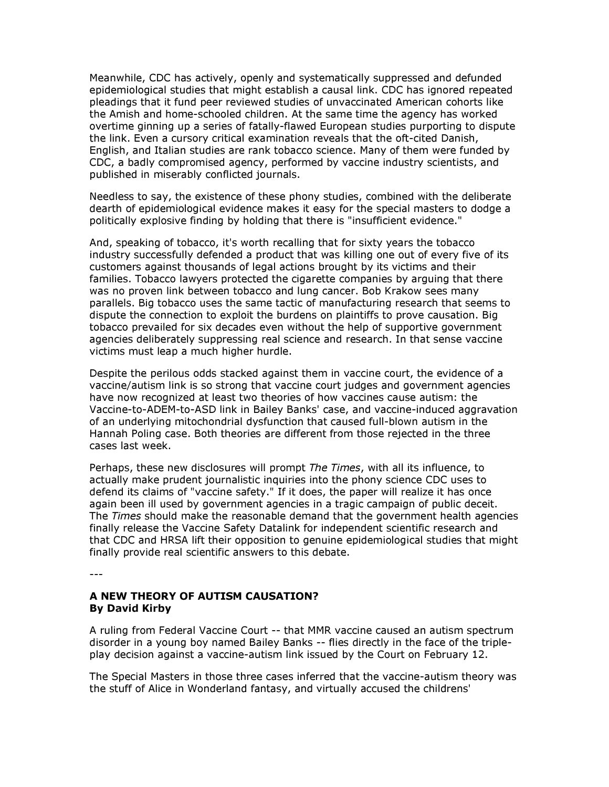Meanwhile, CDC has actively, openly and systematically suppressed and defunded epidemiological studies that might establish a causal link. CDC has ignored repeated pleadings that it fund peer reviewed studies of unvaccinated American cohorts like the Amish and home-schooled children. At the same time the agency has worked overtime ginning up a series of fatally-flawed European studies purporting to dispute the link. Even a cursory critical examination reveals that the oft-cited Danish, English, and Italian studies are rank tobacco science. Many of them were funded by CDC, a badly compromised agency, performed by vaccine industry scientists, and published in miserably conflicted journals.

Needless to say, the existence of these phony studies, combined with the deliberate dearth of epidemiological evidence makes it easy for the special masters to dodge a politically explosive finding by holding that there is "insufficient evidence."

And, speaking of tobacco, it's worth recalling that for sixty years the tobacco industry successfully defended a product that was killing one out of every five of its customers against thousands of legal actions brought by its victims and their families. Tobacco lawyers protected the cigarette companies by arguing that there was no proven link between tobacco and lung cancer. Bob Krakow sees many parallels. Big tobacco uses the same tactic of manufacturing research that seems to dispute the connection to exploit the burdens on plaintiffs to prove causation. Big tobacco prevailed for six decades even without the help of supportive government agencies deliberately suppressing real science and research. In that sense vaccine victims must leap a much higher hurdle.

Despite the perilous odds stacked against them in vaccine court, the evidence of a vaccine/autism link is so strong that vaccine court judges and government agencies have now recognized at least two theories of how vaccines cause autism: the Vaccine-to-ADEM-to-ASD link in Bailey Banks' case, and vaccine-induced aggravation of an underlying mitochondrial dysfunction that caused full-blown autism in the Hannah Poling case. Both theories are different from those rejected in the three cases last week.

Perhaps, these new disclosures will prompt The Times, with all its influence, to actually make prudent journalistic inquiries into the phony science CDC uses to defend its claims of "vaccine safety." If it does, the paper will realize it has once again been ill used by government agencies in a tragic campaign of public deceit. The Times should make the reasonable demand that the government health agencies finally release the Vaccine Safety Datalink for independent scientific research and that CDC and HRSA lift their opposition to genuine epidemiological studies that might finally provide real scientific answers to this debate.

---

## A NEW THEORY OF AUTISM CAUSATION? By David Kirby

A ruling from Federal Vaccine Court -- that MMR vaccine caused an autism spectrum disorder in a young boy named Bailey Banks -- flies directly in the face of the tripleplay decision against a vaccine-autism link issued by the Court on February 12.

The Special Masters in those three cases inferred that the vaccine-autism theory was the stuff of Alice in Wonderland fantasy, and virtually accused the childrens'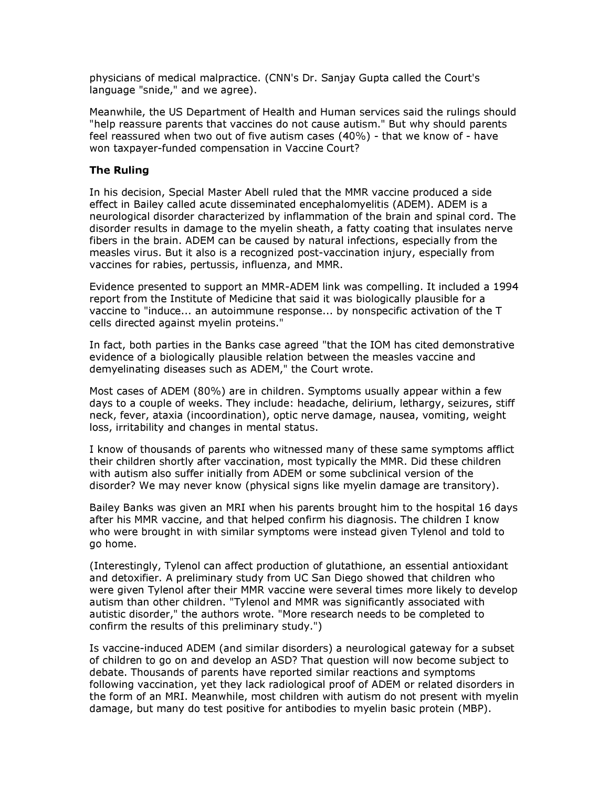physicians of medical malpractice. (CNN's Dr. Sanjay Gupta called the Court's language "snide," and we agree).

Meanwhile, the US Department of Health and Human services said the rulings should "help reassure parents that vaccines do not cause autism." But why should parents feel reassured when two out of five autism cases (40%) - that we know of - have won taxpayer-funded compensation in Vaccine Court?

#### The Ruling

In his decision, Special Master Abell ruled that the MMR vaccine produced a side effect in Bailey called acute disseminated encephalomyelitis (ADEM). ADEM is a neurological disorder characterized by inflammation of the brain and spinal cord. The disorder results in damage to the myelin sheath, a fatty coating that insulates nerve fibers in the brain. ADEM can be caused by natural infections, especially from the measles virus. But it also is a recognized post-vaccination injury, especially from vaccines for rabies, pertussis, influenza, and MMR.

Evidence presented to support an MMR-ADEM link was compelling. It included a 1994 report from the Institute of Medicine that said it was biologically plausible for a vaccine to "induce... an autoimmune response... by nonspecific activation of the T cells directed against myelin proteins."

In fact, both parties in the Banks case agreed "that the IOM has cited demonstrative evidence of a biologically plausible relation between the measles vaccine and demyelinating diseases such as ADEM," the Court wrote.

Most cases of ADEM (80%) are in children. Symptoms usually appear within a few days to a couple of weeks. They include: headache, delirium, lethargy, seizures, stiff neck, fever, ataxia (incoordination), optic nerve damage, nausea, vomiting, weight loss, irritability and changes in mental status.

I know of thousands of parents who witnessed many of these same symptoms afflict their children shortly after vaccination, most typically the MMR. Did these children with autism also suffer initially from ADEM or some subclinical version of the disorder? We may never know (physical signs like myelin damage are transitory).

Bailey Banks was given an MRI when his parents brought him to the hospital 16 days after his MMR vaccine, and that helped confirm his diagnosis. The children I know who were brought in with similar symptoms were instead given Tylenol and told to go home.

(Interestingly, Tylenol can affect production of glutathione, an essential antioxidant and detoxifier. A preliminary study from UC San Diego showed that children who were given Tylenol after their MMR vaccine were several times more likely to develop autism than other children. "Tylenol and MMR was significantly associated with autistic disorder," the authors wrote. "More research needs to be completed to confirm the results of this preliminary study.")

Is vaccine-induced ADEM (and similar disorders) a neurological gateway for a subset of children to go on and develop an ASD? That question will now become subject to debate. Thousands of parents have reported similar reactions and symptoms following vaccination, yet they lack radiological proof of ADEM or related disorders in the form of an MRI. Meanwhile, most children with autism do not present with myelin damage, but many do test positive for antibodies to myelin basic protein (MBP).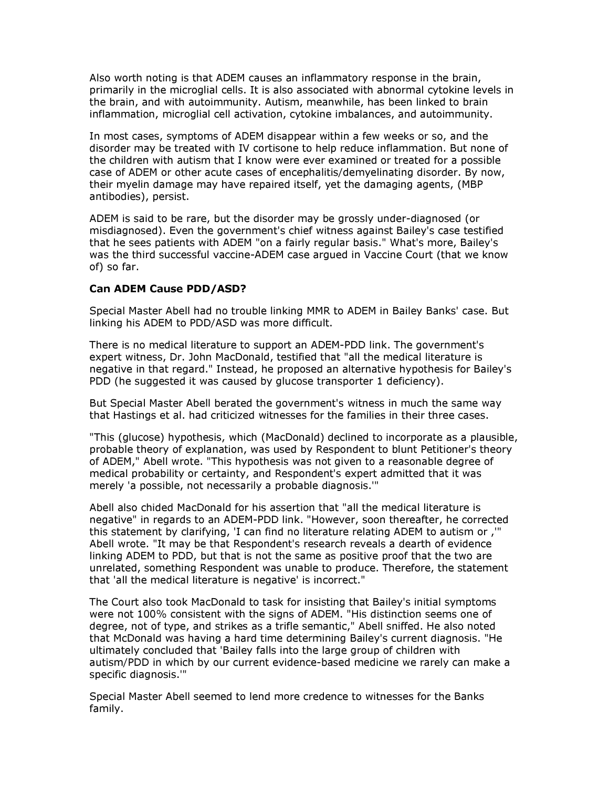Also worth noting is that ADEM causes an inflammatory response in the brain, primarily in the microglial cells. It is also associated with abnormal cytokine levels in the brain, and with autoimmunity. Autism, meanwhile, has been linked to brain inflammation, microglial cell activation, cytokine imbalances, and autoimmunity.

In most cases, symptoms of ADEM disappear within a few weeks or so, and the disorder may be treated with IV cortisone to help reduce inflammation. But none of the children with autism that I know were ever examined or treated for a possible case of ADEM or other acute cases of encephalitis/demyelinating disorder. By now, their myelin damage may have repaired itself, yet the damaging agents, (MBP antibodies), persist.

ADEM is said to be rare, but the disorder may be grossly under-diagnosed (or misdiagnosed). Even the government's chief witness against Bailey's case testified that he sees patients with ADEM "on a fairly regular basis." What's more, Bailey's was the third successful vaccine-ADEM case argued in Vaccine Court (that we know of) so far.

# Can ADEM Cause PDD/ASD?

Special Master Abell had no trouble linking MMR to ADEM in Bailey Banks' case. But linking his ADEM to PDD/ASD was more difficult.

There is no medical literature to support an ADEM-PDD link. The government's expert witness, Dr. John MacDonald, testified that "all the medical literature is negative in that regard." Instead, he proposed an alternative hypothesis for Bailey's PDD (he suggested it was caused by glucose transporter 1 deficiency).

But Special Master Abell berated the government's witness in much the same way that Hastings et al. had criticized witnesses for the families in their three cases.

"This (glucose) hypothesis, which (MacDonald) declined to incorporate as a plausible, probable theory of explanation, was used by Respondent to blunt Petitioner's theory of ADEM," Abell wrote. "This hypothesis was not given to a reasonable degree of medical probability or certainty, and Respondent's expert admitted that it was merely 'a possible, not necessarily a probable diagnosis.'"

Abell also chided MacDonald for his assertion that "all the medical literature is negative" in regards to an ADEM-PDD link. "However, soon thereafter, he corrected this statement by clarifying, 'I can find no literature relating ADEM to autism or ,'" Abell wrote. "It may be that Respondent's research reveals a dearth of evidence linking ADEM to PDD, but that is not the same as positive proof that the two are unrelated, something Respondent was unable to produce. Therefore, the statement that 'all the medical literature is negative' is incorrect."

The Court also took MacDonald to task for insisting that Bailey's initial symptoms were not 100% consistent with the signs of ADEM. "His distinction seems one of degree, not of type, and strikes as a trifle semantic," Abell sniffed. He also noted that McDonald was having a hard time determining Bailey's current diagnosis. "He ultimately concluded that 'Bailey falls into the large group of children with autism/PDD in which by our current evidence-based medicine we rarely can make a specific diagnosis.'"

Special Master Abell seemed to lend more credence to witnesses for the Banks family.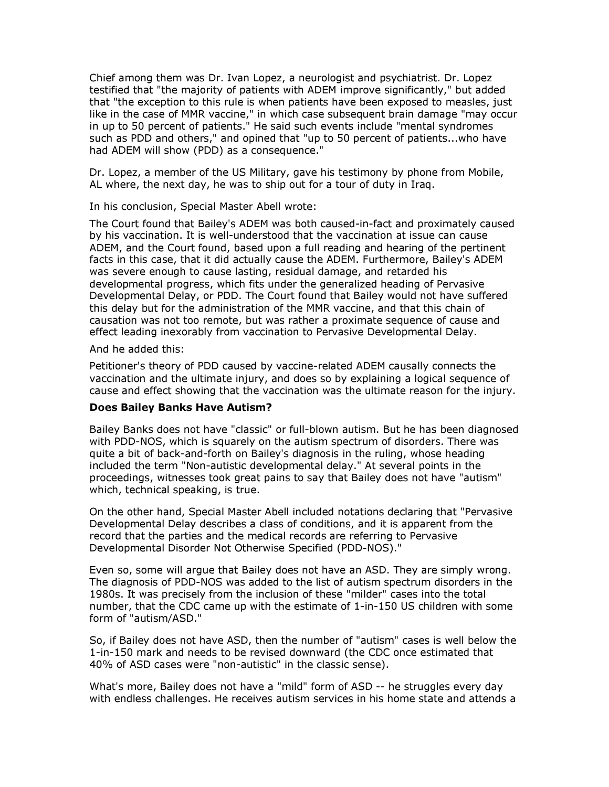Chief among them was Dr. Ivan Lopez, a neurologist and psychiatrist. Dr. Lopez testified that "the majority of patients with ADEM improve significantly," but added that "the exception to this rule is when patients have been exposed to measles, just like in the case of MMR vaccine," in which case subsequent brain damage "may occur in up to 50 percent of patients." He said such events include "mental syndromes such as PDD and others," and opined that "up to 50 percent of patients...who have had ADEM will show (PDD) as a consequence."

Dr. Lopez, a member of the US Military, gave his testimony by phone from Mobile, AL where, the next day, he was to ship out for a tour of duty in Iraq.

In his conclusion, Special Master Abell wrote:

The Court found that Bailey's ADEM was both caused-in-fact and proximately caused by his vaccination. It is well-understood that the vaccination at issue can cause ADEM, and the Court found, based upon a full reading and hearing of the pertinent facts in this case, that it did actually cause the ADEM. Furthermore, Bailey's ADEM was severe enough to cause lasting, residual damage, and retarded his developmental progress, which fits under the generalized heading of Pervasive Developmental Delay, or PDD. The Court found that Bailey would not have suffered this delay but for the administration of the MMR vaccine, and that this chain of causation was not too remote, but was rather a proximate sequence of cause and effect leading inexorably from vaccination to Pervasive Developmental Delay.

And he added this:

Petitioner's theory of PDD caused by vaccine-related ADEM causally connects the vaccination and the ultimate injury, and does so by explaining a logical sequence of cause and effect showing that the vaccination was the ultimate reason for the injury.

## Does Bailey Banks Have Autism?

Bailey Banks does not have "classic" or full-blown autism. But he has been diagnosed with PDD-NOS, which is squarely on the autism spectrum of disorders. There was quite a bit of back-and-forth on Bailey's diagnosis in the ruling, whose heading included the term "Non-autistic developmental delay." At several points in the proceedings, witnesses took great pains to say that Bailey does not have "autism" which, technical speaking, is true.

On the other hand, Special Master Abell included notations declaring that "Pervasive Developmental Delay describes a class of conditions, and it is apparent from the record that the parties and the medical records are referring to Pervasive Developmental Disorder Not Otherwise Specified (PDD-NOS)."

Even so, some will argue that Bailey does not have an ASD. They are simply wrong. The diagnosis of PDD-NOS was added to the list of autism spectrum disorders in the 1980s. It was precisely from the inclusion of these "milder" cases into the total number, that the CDC came up with the estimate of 1-in-150 US children with some form of "autism/ASD."

So, if Bailey does not have ASD, then the number of "autism" cases is well below the 1-in-150 mark and needs to be revised downward (the CDC once estimated that 40% of ASD cases were "non-autistic" in the classic sense).

What's more, Bailey does not have a "mild" form of ASD -- he struggles every day with endless challenges. He receives autism services in his home state and attends a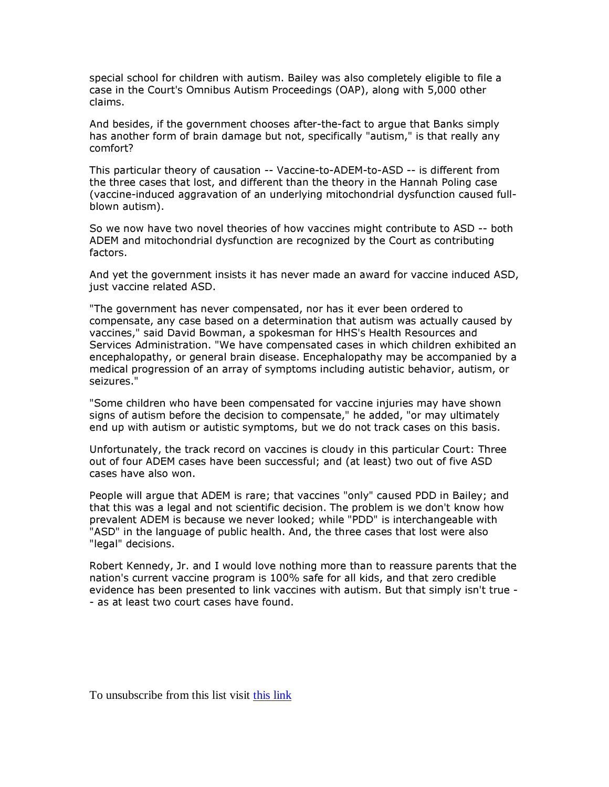special school for children with autism. Bailey was also completely eligible to file a case in the Court's Omnibus Autism Proceedings (OAP), along with 5,000 other claims.

And besides, if the government chooses after-the-fact to argue that Banks simply has another form of brain damage but not, specifically "autism," is that really any comfort?

This particular theory of causation -- Vaccine-to-ADEM-to-ASD -- is different from the three cases that lost, and different than the theory in the Hannah Poling case (vaccine-induced aggravation of an underlying mitochondrial dysfunction caused fullblown autism).

So we now have two novel theories of how vaccines might contribute to ASD -- both ADEM and mitochondrial dysfunction are recognized by the Court as contributing factors.

And yet the government insists it has never made an award for vaccine induced ASD, just vaccine related ASD.

"The government has never compensated, nor has it ever been ordered to compensate, any case based on a determination that autism was actually caused by vaccines," said David Bowman, a spokesman for HHS's Health Resources and Services Administration. "We have compensated cases in which children exhibited an encephalopathy, or general brain disease. Encephalopathy may be accompanied by a medical progression of an array of symptoms including autistic behavior, autism, or seizures."

"Some children who have been compensated for vaccine injuries may have shown signs of autism before the decision to compensate," he added, "or may ultimately end up with autism or autistic symptoms, but we do not track cases on this basis.

Unfortunately, the track record on vaccines is cloudy in this particular Court: Three out of four ADEM cases have been successful; and (at least) two out of five ASD cases have also won.

People will argue that ADEM is rare; that vaccines "only" caused PDD in Bailey; and that this was a legal and not scientific decision. The problem is we don't know how prevalent ADEM is because we never looked; while "PDD" is interchangeable with "ASD" in the language of public health. And, the three cases that lost were also "legal" decisions.

Robert Kennedy, Jr. and I would love nothing more than to reassure parents that the nation's current vaccine program is 100% safe for all kids, and that zero credible evidence has been presented to link vaccines with autism. But that simply isn't true - - as at least two court cases have found.

To unsubscribe from this list visit this link